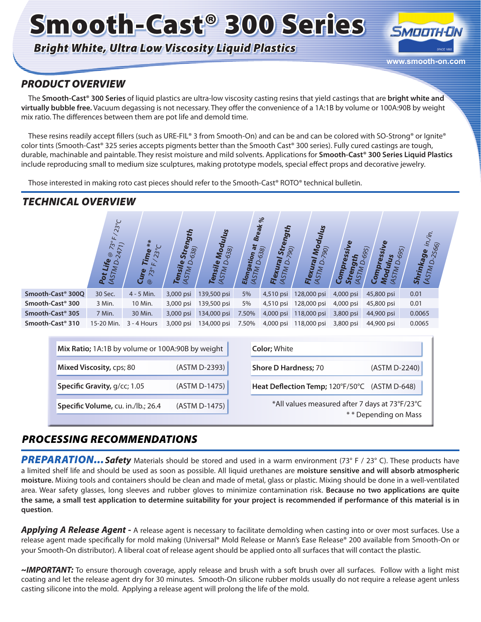# Smooth-Cast® 300 Series

### *Bright White, Ultra Low Viscosity Liquid Plastics*



### *PRODUCT OVERVIEW*

The **Smooth-Cast® 300 Series** of liquid plastics are ultra-low viscosity casting resins that yield castings that are **bright white and virtually bubble free.** Vacuum degassing is not necessary. They offer the convenience of a 1A:1B by volume or 100A:90B by weight mix ratio. The differences between them are pot life and demold time.

These resins readily accept fillers (such as URE-FIL® 3 from Smooth-On) and can be and can be colored with SO-Strong® or Ignite® color tints (Smooth-Cast® 325 series accepts pigments better than the Smooth Cast® 300 series). Fully cured castings are tough, durable, machinable and paintable. They resist moisture and mild solvents. Applications for **Smooth-Cast® 300 Series Liquid Plastics** include reproducing small to medium size sculptures, making prototype models, special effect props and decorative jewelry.

Those interested in making roto cast pieces should refer to the Smooth-Cast® ROTO® technical bulletin.

### *TECHNICAL OVERVIEW*

|                               | $23^{\circ}C$<br>$\overline{a}$<br>$\mathring{z}$<br>$\overline{z}$<br>$\overline{24}$<br>$^\copyright$<br>Life<br><b>USTMD</b><br>Pot | $*$<br>$\sim$<br>$\overline{r}$ ime<br>2 <sup>o</sup><br>Cure<br>$\circledcirc$ | Strength<br>$-638$<br>(ASTMD.<br>Tensile | ೫<br>Modulu<br>638)<br>Tensile<br>(ASTM D. | <b>Break</b><br>$\frac{100}{D\cdot 638}$<br>Elongation<br><b>ASTM</b> | $\%$<br>hgth<br>Stre<br>790)<br>Flexural<br>Ó<br>MSTM | Modulus<br>790)<br><b>Flexural</b><br>$\Delta$<br><b>ASTM</b> | Compressive<br>£,<br>Stre<br>5<br>$\overline{\mathcal{F}}$ | ৼ<br>ulus<br><sup>1D-695)</sup><br>695)<br><b>Compressi</b><br><b>ASTM</b><br>Nod | /in.<br>2566)<br>Shrinkage<br><b>ASTMD</b> |
|-------------------------------|----------------------------------------------------------------------------------------------------------------------------------------|---------------------------------------------------------------------------------|------------------------------------------|--------------------------------------------|-----------------------------------------------------------------------|-------------------------------------------------------|---------------------------------------------------------------|------------------------------------------------------------|-----------------------------------------------------------------------------------|--------------------------------------------|
| Smooth-Cast <sup>®</sup> 300Q | 30 Sec.                                                                                                                                | 4 - 5 Min.                                                                      | 3,000 psi                                | 139,500 psi                                | 5%                                                                    | 4,510 psi                                             | 128,000 psi                                                   | 4,000 psi                                                  | 45,800 psi                                                                        | 0.01                                       |
| Smooth-Cast <sup>®</sup> 300  | 3 Min.                                                                                                                                 | 10 Min.                                                                         | 3,000 psi                                | 139,500 psi                                | 5%                                                                    | 4,510 psi                                             | 128,000 psi                                                   | 4,000 psi                                                  | 45,800 psi                                                                        | 0.01                                       |
| Smooth-Cast <sup>®</sup> 305  | 7 Min.                                                                                                                                 | 30 Min.                                                                         | 3,000 psi                                | 134,000 psi                                | 7.50%                                                                 | 4,000 psi                                             | 118,000 psi                                                   | 3,800 psi                                                  | 44,900 psi                                                                        | 0.0065                                     |
| Smooth-Cast <sup>®</sup> 310  | 15-20 Min.                                                                                                                             | $3 - 4$ Hours                                                                   | 3,000 psi                                | 134,000 psi                                | 7.50%                                                                 | 4,000 psi                                             | 118,000 psi                                                   | 3,800 psi                                                  | 44,900 psi                                                                        | 0.0065                                     |

| Mix Ratio; 1A:1B by volume or 100A:90B by weight |               | <b>Color</b> ; White                                                   |
|--------------------------------------------------|---------------|------------------------------------------------------------------------|
| Mixed Viscosity, cps; 80                         | (ASTM D-2393) | <b>Shore D Hardness; 70</b><br>(ASTM D-2240)                           |
| Specific Gravity, g/cc; 1.05                     | (ASTM D-1475) | Heat Deflection Temp; 120°F/50°C (ASTM D-648)                          |
| Specific Volume, cu. in./lb.; 26.4               | (ASTM D-1475) | *All values measured after 7 days at 73°F/23°C<br>** Depending on Mass |

### *PROCESSING RECOMMENDATIONS*

**PREPARATION... Safety** Materials should be stored and used in a warm environment (73° F / 23° C). These products have a limited shelf life and should be used as soon as possible. All liquid urethanes are **moisture sensitive and will absorb atmospheric moisture.** Mixing tools and containers should be clean and made of metal, glass or plastic. Mixing should be done in a well-ventilated area. Wear safety glasses, long sleeves and rubber gloves to minimize contamination risk. **Because no two applications are quite the same, a small test application to determine suitability for your project is recommended if performance of this material is in question**.

*Applying A Release Agent -* A release agent is necessary to facilitate demolding when casting into or over most surfaces. Use a release agent made specifically for mold making (Universal® Mold Release or Mann's Ease Release® 200 available from Smooth-On or your Smooth-On distributor). A liberal coat of release agent should be applied onto all surfaces that will contact the plastic.

*~IMPORTANT:* To ensure thorough coverage, apply release and brush with a soft brush over all surfaces. Follow with a light mist coating and let the release agent dry for 30 minutes. Smooth-On silicone rubber molds usually do not require a release agent unless casting silicone into the mold. Applying a release agent will prolong the life of the mold.